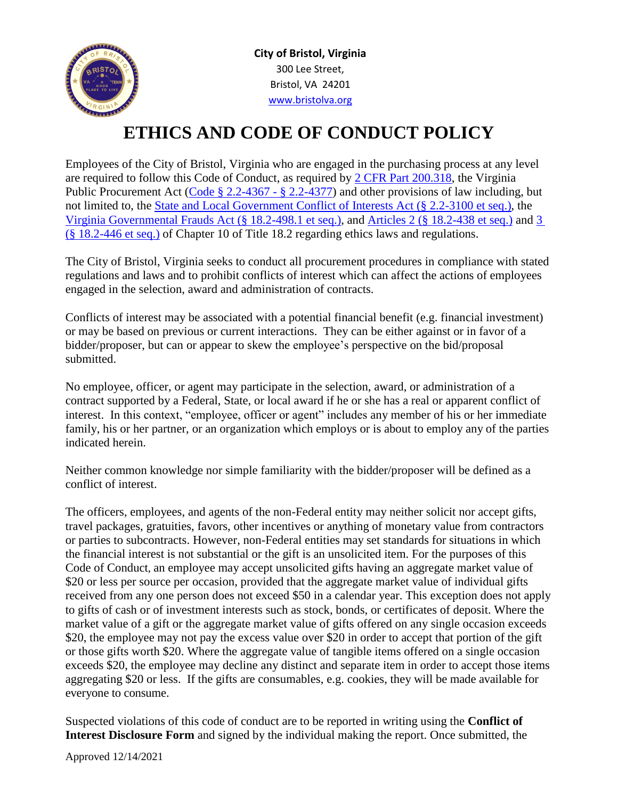

**City of Bristol, Virginia** 300 Lee Street, Bristol, VA 24201 [www.bristolva.org](http://www.bristolva.org/)

## **ETHICS AND CODE OF CONDUCT POLICY**

Employees of the City of Bristol, Virginia who are engaged in the purchasing process at any level are required to follow this Code of Conduct, as required by [2 CFR Part 200.318,](https://www.ecfr.gov/cgi-bin/text-idx?SID=f6308610d2cc430e1a5d9b850108eca0&mc=true&node=sg2.1.200_1309.sg1&rgn=div7) the Virginia Public Procurement Act [\(Code § 2.2-4367 -](http://law.lis.virginia.gov/vacodefull/title2.2/chapter43/article6/) § 2.2-4377) and other provisions of law including, but not limited to, the [State and Local Government Conflict of Interests Act \(§ 2.2-3100 et seq.\),](http://law.lis.virginia.gov/vacodepopularnames/state-and-local-government-conflict-of-interests-act/) the [Virginia Governmental Frauds Act \(§ 18.2-498.1 et seq.\),](http://law.lis.virginia.gov/vacodefull/title18.2/chapter12/article1.1/) and [Articles 2 \(§ 18.2-438 et seq.\)](http://law.lis.virginia.gov/vacodefull/title18.2/chapter10/article2/) and [3](http://law.lis.virginia.gov/vacodefull/title18.2/chapter10/article3/) (§ [18.2-446 et seq.\)](http://law.lis.virginia.gov/vacodefull/title18.2/chapter10/article3/) of Chapter 10 of Title 18.2 regarding ethics laws and regulations.

The City of Bristol, Virginia seeks to conduct all procurement procedures in compliance with stated regulations and laws and to prohibit conflicts of interest which can affect the actions of employees engaged in the selection, award and administration of contracts.

Conflicts of interest may be associated with a potential financial benefit (e.g. financial investment) or may be based on previous or current interactions. They can be either against or in favor of a bidder/proposer, but can or appear to skew the employee's perspective on the bid/proposal submitted.

No employee, officer, or agent may participate in the selection, award, or administration of a contract supported by a Federal, State, or local award if he or she has a real or apparent conflict of interest. In this context, "employee, officer or agent" includes any member of his or her immediate family, his or her partner, or an organization which employs or is about to employ any of the parties indicated herein.

Neither common knowledge nor simple familiarity with the bidder/proposer will be defined as a conflict of interest.

The officers, employees, and agents of the non-Federal entity may neither solicit nor accept gifts, travel packages, gratuities, favors, other incentives or anything of monetary value from contractors or parties to subcontracts. However, non-Federal entities may set standards for situations in which the financial interest is not substantial or the gift is an unsolicited item. For the purposes of this Code of Conduct, an employee may accept unsolicited gifts having an aggregate market value of \$20 or less per source per occasion, provided that the aggregate market value of individual gifts received from any one person does not exceed \$50 in a calendar year. This exception does not apply to gifts of cash or of investment interests such as stock, bonds, or certificates of deposit. Where the market value of a gift or the aggregate market value of gifts offered on any single occasion exceeds \$20, the employee may not pay the excess value over \$20 in order to accept that portion of the gift or those gifts worth \$20. Where the aggregate value of tangible items offered on a single occasion exceeds \$20, the employee may decline any distinct and separate item in order to accept those items aggregating \$20 or less. If the gifts are consumables, e.g. cookies, they will be made available for everyone to consume.

Suspected violations of this code of conduct are to be reported in writing using the **Conflict of Interest Disclosure Form** and signed by the individual making the report. Once submitted, the